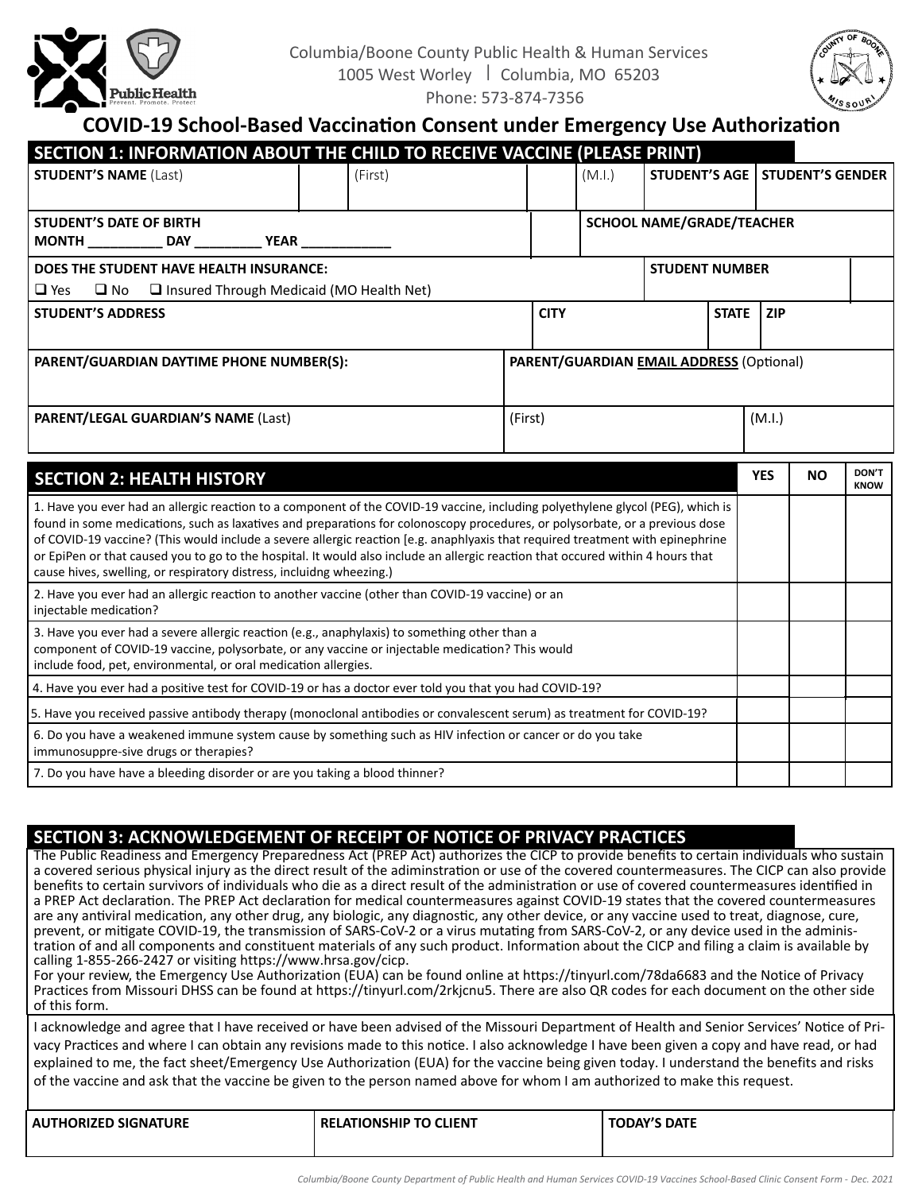



## **COVID-19 School-Based Vaccination Consent under Emergency Use Authorization**

| SECTION 1: INFORMATION ABOUT THE CHILD TO RECEIVE VACCINE (PLEASE PRINT)                                                                                                                                                                                        |  |         |         |             |        |                                  |              |            |                         |                      |
|-----------------------------------------------------------------------------------------------------------------------------------------------------------------------------------------------------------------------------------------------------------------|--|---------|---------|-------------|--------|----------------------------------|--------------|------------|-------------------------|----------------------|
| <b>STUDENT'S NAME (Last)</b>                                                                                                                                                                                                                                    |  | (First) |         |             | (M.I.) | <b>STUDENT'S AGE  </b>           |              |            | <b>STUDENT'S GENDER</b> |                      |
|                                                                                                                                                                                                                                                                 |  |         |         |             |        |                                  |              |            |                         |                      |
| <b>STUDENT'S DATE OF BIRTH</b><br>MONTH ______________ DAY _______________ YEAR ________________                                                                                                                                                                |  |         |         |             |        | <b>SCHOOL NAME/GRADE/TEACHER</b> |              |            |                         |                      |
| DOES THE STUDENT HAVE HEALTH INSURANCE:<br><b>STUDENT NUMBER</b>                                                                                                                                                                                                |  |         |         |             |        |                                  |              |            |                         |                      |
| $\Box$ Yes<br>$\Box$ No $\Box$ Insured Through Medicaid (MO Health Net)                                                                                                                                                                                         |  |         |         |             |        |                                  |              |            |                         |                      |
| <b>STUDENT'S ADDRESS</b>                                                                                                                                                                                                                                        |  |         |         | <b>CITY</b> |        |                                  | <b>STATE</b> | <b>ZIP</b> |                         |                      |
|                                                                                                                                                                                                                                                                 |  |         |         |             |        |                                  |              |            |                         |                      |
| PARENT/GUARDIAN DAYTIME PHONE NUMBER(S):<br>PARENT/GUARDIAN EMAIL ADDRESS (Optional)                                                                                                                                                                            |  |         |         |             |        |                                  |              |            |                         |                      |
| <b>PARENT/LEGAL GUARDIAN'S NAME (Last)</b>                                                                                                                                                                                                                      |  |         | (First) |             |        |                                  |              | (M.I.)     |                         |                      |
| <b>SECTION 2: HEALTH HISTORY</b>                                                                                                                                                                                                                                |  |         |         |             |        |                                  |              | <b>YES</b> | <b>NO</b>               | DON'T<br><b>KNOW</b> |
| 1. Have you ever had an allergic reaction to a component of the COVID-19 vaccine, including polyethylene glycol (PEG), which is<br>found in some medications, such as laxatives and preparations for colonoscopy procedures, or polysorbate, or a previous dose |  |         |         |             |        |                                  |              |            |                         |                      |

| 1. Have you ever had an allergic reaction to a component of the COVID-19 vaccine, including polyethylene glycol (PEG), which is<br>found in some medications, such as laxatives and preparations for colonoscopy procedures, or polysorbate, or a previous dose<br>of COVID-19 vaccine? (This would include a severe allergic reaction [e.g. anaphlyaxis that required treatment with epinephrine<br>or EpiPen or that caused you to go to the hospital. It would also include an allergic reaction that occured within 4 hours that<br>cause hives, swelling, or respiratory distress, incluidng wheezing.) |  |  |
|--------------------------------------------------------------------------------------------------------------------------------------------------------------------------------------------------------------------------------------------------------------------------------------------------------------------------------------------------------------------------------------------------------------------------------------------------------------------------------------------------------------------------------------------------------------------------------------------------------------|--|--|
| 2. Have you ever had an allergic reaction to another vaccine (other than COVID-19 vaccine) or an<br>injectable medication?                                                                                                                                                                                                                                                                                                                                                                                                                                                                                   |  |  |
| 3. Have you ever had a severe allergic reaction (e.g., anaphylaxis) to something other than a<br>component of COVID-19 vaccine, polysorbate, or any vaccine or injectable medication? This would<br>include food, pet, environmental, or oral medication allergies.                                                                                                                                                                                                                                                                                                                                          |  |  |
| 4. Have you ever had a positive test for COVID-19 or has a doctor ever told you that you had COVID-19?                                                                                                                                                                                                                                                                                                                                                                                                                                                                                                       |  |  |
| 5. Have you received passive antibody therapy (monoclonal antibodies or convalescent serum) as treatment for COVID-19?                                                                                                                                                                                                                                                                                                                                                                                                                                                                                       |  |  |
| 6. Do you have a weakened immune system cause by something such as HIV infection or cancer or do you take<br>immunosuppre-sive drugs or therapies?                                                                                                                                                                                                                                                                                                                                                                                                                                                           |  |  |
| 7. Do you have have a bleeding disorder or are you taking a blood thinner?                                                                                                                                                                                                                                                                                                                                                                                                                                                                                                                                   |  |  |

## **SECTION 3: ACKNOWLEDGEMENT OF RECEIPT OF NOTICE OF PRIVACY PRACTICES**

The Public Readiness and Emergency Preparedness Act (PREP Act) authorizes the CICP to provide benefits to certain individuals who sustain a covered serious physical injury as the direct result of the adiminstration or use of the covered countermeasures. The CICP can also provide benefits to certain survivors of individuals who die as a direct result of the administration or use of covered countermeasures identified in a PREP Act declaration. The PREP Act declaration for medical countermeasures against COVID-19 states that the covered countermeasures are any antiviral medication, any other drug, any biologic, any diagnostic, any other device, or any vaccine used to treat, diagnose, cure, prevent, or mitigate COVID-19, the transmission of SARS-CoV-2 or a virus mutating from SARS-CoV-2, or any device used in the administration of and all components and constituent materials of any such product. Information about the CICP and filing a claim is available by calling 1-855-266-2427 or visiting [https://www.hrsa.gov/cicp.](https://www.hrsa.gov/cicp)

For your review, the Emergency Use Authorization (EUA) can be found online at <https://tinyurl.com/78da6683> and the Notice of Privacy Practices from Missouri DHSS can be found at <https://tinyurl.com/2rkjcnu5>. There are also QR codes for each document on the other side of this form.

I acknowledge and agree that I have received or have been advised of the Missouri Department of Health and Senior Services' Notice of Privacy Practices and where I can obtain any revisions made to this notice. I also acknowledge I have been given a copy and have read, or had explained to me, the fact sheet/Emergency Use Authorization (EUA) for the vaccine being given today. I understand the benefits and risks of the vaccine and ask that the vaccine be given to the person named above for whom I am authorized to make this request.

| <b>SIGNATURE</b><br>AU1<br>ORIZED | P TO CLIENT<br>ONSHIP<br>RFIA. | TODAY'S DATE |
|-----------------------------------|--------------------------------|--------------|
|                                   |                                |              |